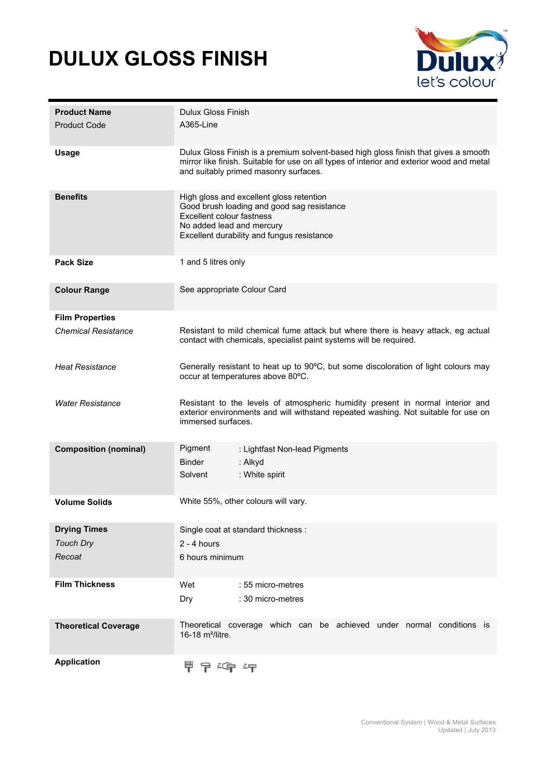## **DULUX GLOSS FINISH**



| <b>Product Name</b><br><b>Product Code</b> | <b>Dulux Gloss Finish</b><br>A365-Line                                                                                                                                                                                    |  |  |
|--------------------------------------------|---------------------------------------------------------------------------------------------------------------------------------------------------------------------------------------------------------------------------|--|--|
| <b>Usage</b>                               | Dulux Gloss Finish is a premium solvent-based high gloss finish that gives a smooth<br>mirror like finish. Suitable for use on all types of interior and exterior wood and metal<br>and suitably primed masonry surfaces. |  |  |
| <b>Benefits</b>                            | High gloss and excellent gloss retention<br>Good brush loading and good sag resistance<br>Excellent colour fastness<br>No added lead and mercury<br>Excellent durability and fungus resistance                            |  |  |
| <b>Pack Size</b>                           | 1 and 5 litres only                                                                                                                                                                                                       |  |  |
| <b>Colour Range</b>                        | See appropriate Colour Card                                                                                                                                                                                               |  |  |
| <b>Film Properties</b>                     |                                                                                                                                                                                                                           |  |  |
| <b>Chemical Resistance</b>                 | Resistant to mild chemical fume attack but where there is heavy attack, eg actual<br>contact with chemicals, specialist paint systems will be required.                                                                   |  |  |
| <b>Heat Resistance</b>                     | Generally resistant to heat up to 90°C, but some discoloration of light colours may<br>occur at temperatures above 80°C.                                                                                                  |  |  |
| <b>Water Resistance</b>                    | Resistant to the levels of atmospheric humidity present in normal interior and<br>exterior environments and will withstand repeated washing. Not suitable for use on<br>immersed surfaces.                                |  |  |
| <b>Composition (nominal)</b>               | Pigment<br>: Lightfast Non-lead Pigments<br><b>Binder</b><br>: Alkyd<br>: White spirit<br>Solvent                                                                                                                         |  |  |
| <b>Volume Solids</b>                       | White 55%, other colours will vary.                                                                                                                                                                                       |  |  |
| <b>Drying Times</b>                        | Single coat at standard thickness :                                                                                                                                                                                       |  |  |
| <b>Touch Dry</b>                           | $2 - 4$ hours                                                                                                                                                                                                             |  |  |
| Recoat                                     | 6 hours minimum                                                                                                                                                                                                           |  |  |
| <b>Film Thickness</b>                      | Wet<br>: 55 micro-metres<br>: 30 micro-metres<br>Dry                                                                                                                                                                      |  |  |
| <b>Theoretical Coverage</b>                | Theoretical coverage which can be achieved under normal conditions is<br>16-18 m <sup>2</sup> /litre.                                                                                                                     |  |  |
| <b>Application</b>                         | - 19 - 19 - 19                                                                                                                                                                                                            |  |  |